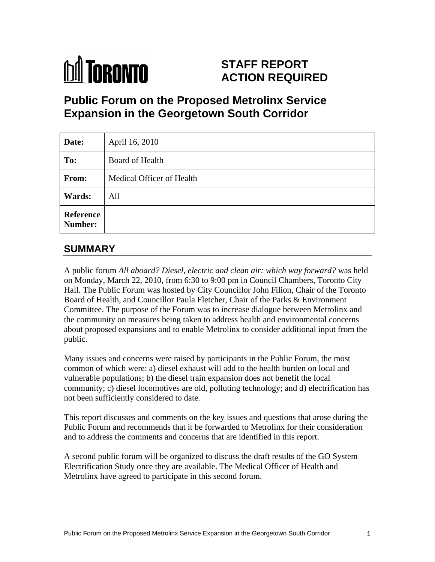

# **STAFF REPORT ACTION REQUIRED**

# **Public Forum on the Proposed Metrolinx Service Expansion in the Georgetown South Corridor**

| Date:         | April 16, 2010            |
|---------------|---------------------------|
| To:           | <b>Board of Health</b>    |
| From:         | Medical Officer of Health |
| <b>Wards:</b> | All                       |
| Reference     |                           |

# **SUMMARY**

A public forum *All aboard? Diesel, electric and clean air: which way forward?* was held on Monday, March 22, 2010, from 6:30 to 9:00 pm in Council Chambers, Toronto City Hall. The Public Forum was hosted by City Councillor John Filion, Chair of the Toronto Board of Health, and Councillor Paula Fletcher, Chair of the Parks & Environment Committee. The purpose of the Forum was to increase dialogue between Metrolinx and the community on measures being taken to address health and environmental concerns about proposed expansions and to enable Metrolinx to consider additional input from the public. The contract of the contract of the contract of the contract of the contract of the contract of the contract of the contract of the contract of the contract of the contract of the contract of the contract of the co

Many issues and concerns were raised by participants in the Public Forum, the most common of which were: a) diesel exhaust will add to the health burden on local and vulnerable populations; b) the diesel train expansion does not benefit the local community; c) diesel locomotives are old, polluting technology; and d) electrification has not been sufficiently considered to date.

This report discusses and comments on the key issues and questions that arose during the Public Forum and recommends that it be forwarded to Metrolinx for their consideration and to address the comments and concerns that are identified in this report.

A second public forum will be organized to discuss the draft results of the GO System Electrification Study once they are available. The Medical Officer of Health and Metrolinx have agreed to participate in this second forum.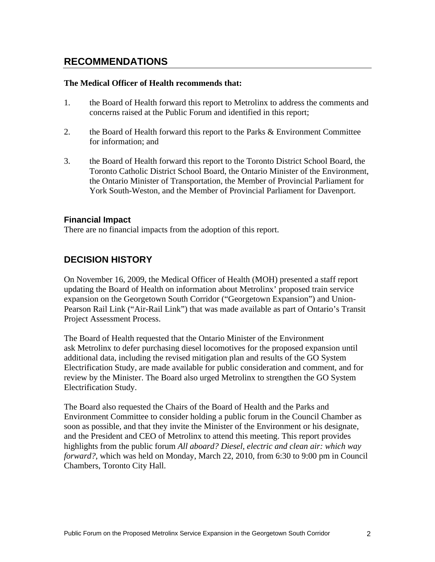# **RECOMMENDATIONS**

#### **The Medical Officer of Health recommends that:**

- 1. the Board of Health forward this report to Metrolinx to address the comments and concerns raised at the Public Forum and identified in this report;
- 2. the Board of Health forward this report to the Parks & Environment Committee for information; and
- 3. the Board of Health forward this report to the Toronto District School Board, the Toronto Catholic District School Board, the Ontario Minister of the Environment, the Ontario Minister of Transportation, the Member of Provincial Parliament for York South-Weston, and the Member of Provincial Parliament for Davenport.

#### **Financial Impact**

There are no financial impacts from the adoption of this report.

### **DECISION HISTORY**

On November 16, 2009, the Medical Officer of Health (MOH) presented a staff report updating the Board of Health on information about Metrolinx' proposed train service expansion on the Georgetown South Corridor ("Georgetown Expansion") and Union- Pearson Rail Link ("Air-Rail Link") that was made available as part of Ontario's Transit Project Assessment Process.

The Board of Health requested that the Ontario Minister of the Environment ask Metrolinx to defer purchasing diesel locomotives for the proposed expansion until additional data, including the revised mitigation plan and results of the GO System Electrification Study, are made available for public consideration and comment, and for review by the Minister. The Board also urged Metrolinx to strengthen the GO System Electrification Study.

The Board also requested the Chairs of the Board of Health and the Parks and Environment Committee to consider holding a public forum in the Council Chamber as soon as possible, and that they invite the Minister of the Environment or his designate, and the President and CEO of Metrolinx to attend this meeting. This report provides highlights from the public forum *All aboard? Diesel, electric and clean air: which way forward?*, which was held on Monday, March 22, 2010, from 6:30 to 9:00 pm in Council Chambers, Toronto City Hall.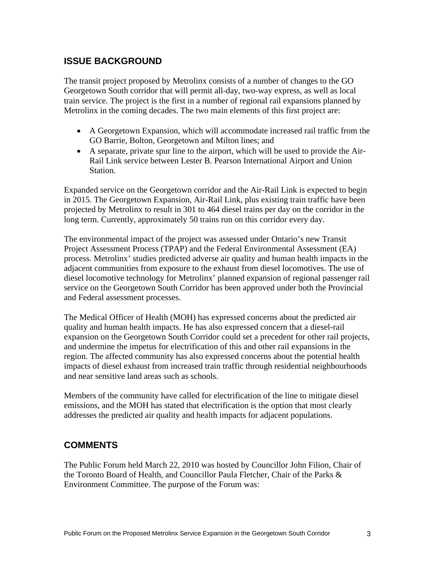# **ISSUE BACKGROUND**

The transit project proposed by Metrolinx consists of a number of changes to the GO Georgetown South corridor that will permit all-day, two-way express, as well as local train service. The project is the first in a number of regional rail expansions planned by Metrolinx in the coming decades. The two main elements of this first project are:

- A Georgetown Expansion, which will accommodate increased rail traffic from the GO Barrie, Bolton, Georgetown and Milton lines; and
- A separate, private spur line to the airport, which will be used to provide the Air- Rail Link service between Lester B. Pearson International Airport and Union Station.

Expanded service on the Georgetown corridor and the Air-Rail Link is expected to begin in 2015. The Georgetown Expansion, Air-Rail Link, plus existing train traffic have been projected by Metrolinx to result in 301 to 464 diesel trains per day on the corridor in the long term. Currently, approximately 50 trains run on this corridor every day.

The environmental impact of the project was assessed under Ontario's new Transit Project Assessment Process (TPAP) and the Federal Environmental Assessment (EA) process. Metrolinx' studies predicted adverse air quality and human health impacts in the adjacent communities from exposure to the exhaust from diesel locomotives. The use of diesel locomotive technology for Metrolinx' planned expansion of regional passenger rail service on the Georgetown South Corridor has been approved under both the Provincial

and Federal assessment processes.<br>The Medical Officer of Health (MOH) has expressed concerns about the predicted air quality and human health impacts. He has also expressed concern that a diesel-rail expansion on the Georgetown South Corridor could set a precedent for other rail projects, and undermine the impetus for electrification of this and other rail expansions in the region. The affected community has also expressed concerns about the potential health impacts of diesel exhaust from increased train traffic through residential neighbourhoods and near sensitive land areas such as schools.

Members of the community have called for electrification of the line to mitigate diesel emissions, and the MOH has stated that electrification is the option that most clearly addresses the predicted air quality and health impacts for adjacent populations.

# **COMMENTS**

The Public Forum held March 22, 2010 was hosted by Councillor John Filion, Chair of the Toronto Board of Health, and Councillor Paula Fletcher, Chair of the Parks & Environment Committee. The purpose of the Forum was: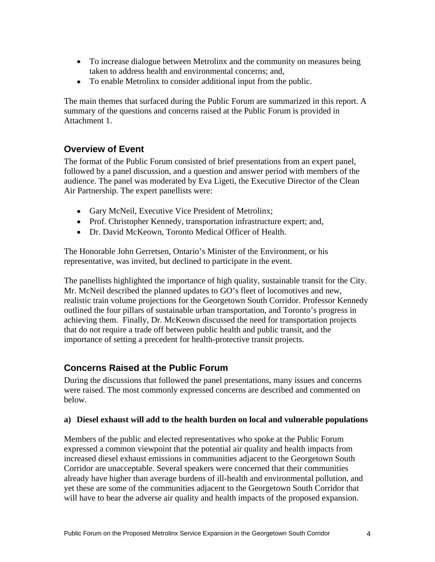- To increase dialogue between Metrolinx and the community on measures being taken to address health and environmental concerns; and,
- To enable Metrolinx to consider additional input from the public.

The main themes that surfaced during the Public Forum are summarized in this report. A summary of the questions and concerns raised at the Public Forum is provided in Attachment 1.

# **Overview of Event**

The format of the Public Forum consisted of brief presentations from an expert panel, followed by a panel discussion, and a question and answer period with members of the audience. The panel was moderated by Eva Ligeti, the Executive Director of the Clean Air Partnership. The expert panellists were:

- Gary McNeil, Executive Vice President of Metrolinx;
- Prof. Christopher Kennedy, transportation infrastructure expert; and,
- Dr. David McKeown, Toronto Medical Officer of Health.

The Honorable John Gerretsen, Ontario's Minister of the Environment, or his representative, was invited, but declined to participate in the event.

The panellists highlighted the importance of high quality, sustainable transit for the City. Mr. McNeil described the planned updates to GO's fleet of locomotives and new, realistic train volume projections for the Georgetown South Corridor. Professor Kennedy outlined the four pillars of sustainable urban transportation, and Toronto's progress in achieving them. Finally, Dr. McKeown discussed the need for transportation projects that do not require a trade off between public health and public transit, and the importance of setting a precedent for health-protective transit projects.

# **Concerns Raised at the Public Forum**

During the discussions that followed the panel presentations, many issues and concerns were raised. The most commonly expressed concerns are described and commented on below.

#### **a) Diesel exhaust will add to the health burden on local and vulnerable populations**

Members of the public and elected representatives who spoke at the Public Forum expressed a common viewpoint that the potential air quality and health impacts from increased diesel exhaust emissions in communities adjacent to the Georgetown South Corridor are unacceptable. Several speakers were concerned that their communities already have higher than average burdens of ill-health and environmental pollution, and yet these are some of the communities adjacent to the Georgetown South Corridor that will have to bear the adverse air quality and health impacts of the proposed expansion.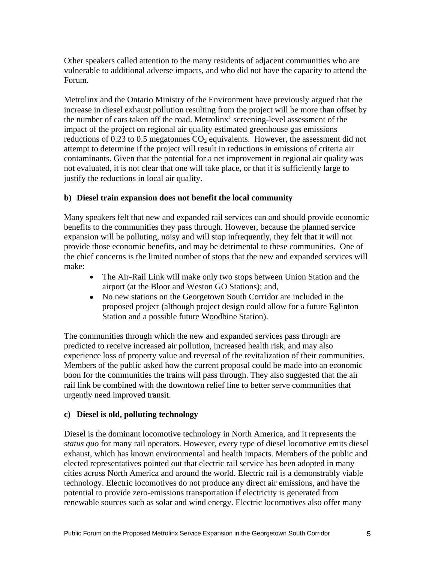Other speakers called attention to the many residents of adjacent communities who are vulnerable to additional adverse impacts, and who did not have the capacity to attend the Forum.

Metrolinx and the Ontario Ministry of the Environment have previously argued that the increase in diesel exhaust pollution resulting from the project will be more than offset by the number of cars taken off the road. Metrolinx' screening-level assessment of the impact of the project on regional air quality estimated greenhouse gas emissions reductions of 0.23 to 0.5 megatonnes  $CO<sub>2</sub>$  equivalents. However, the assessment did not attempt to determine if the project will result in reductions in emissions of criteria air contaminants. Given that the potential for a net improvement in regional air quality was not evaluated, it is not clear that one will take place, or that it is sufficiently large to justify the reductions in local air quality.

#### **b) Diesel train expansion does not benefit the local community**

Many speakers felt that new and expanded rail services can and should provide economic benefits to the communities they pass through. However, because the planned service expansion will be polluting, noisy and will stop infrequently, they felt that it will not provide those economic benefits, and may be detrimental to these communities. One of the chief concerns is the limited number of stops that the new and expanded services will make: when the contract of the contract of the contract of the contract of the contract of the contract of the contract of the contract of the contract of the contract of the contract of the contract of the contract of the

- The Air-Rail Link will make only two stops between Union Station and the airport (at the Bloor and Weston GO Stations); and,
- No new stations on the Georgetown South Corridor are included in the proposed project (although project design could allow for a future Eglinton Station and a possible future Woodbine Station).

The communities through which the new and expanded services pass through are predicted to receive increased air pollution, increased health risk, and may also experience loss of property value and reversal of the revitalization of their communities. Members of the public asked how the current proposal could be made into an economic boon for the communities the trains will pass through. They also suggested that the air rail link be combined with the downtown relief line to better serve communities that urgently need improved transit.

#### **c) Diesel is old, polluting technology**

Diesel is the dominant locomotive technology in North America, and it represents the *status quo* for many rail operators. However, every type of diesel locomotive emits diesel exhaust, which has known environmental and health impacts. Members of the public and elected representatives pointed out that electric rail service has been adopted in many cities across North America and around the world. Electric rail is a demonstrably viable technology. Electric locomotives do not produce any direct air emissions, and have the potential to provide zero-emissions transportation if electricity is generated from renewable sources such as solar and wind energy. Electric locomotives also offer many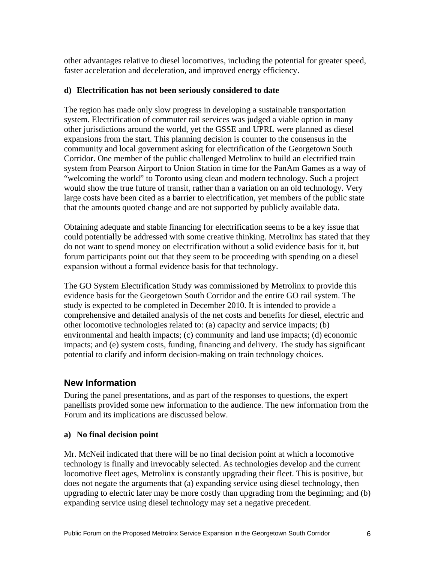other advantages relative to diesel locomotives, including the potential for greater speed, faster acceleration and deceleration, and improved energy efficiency.

#### **d) Electrification has not been seriously considered to date**

The region has made only slow progress in developing a sustainable transportation system. Electrification of commuter rail services was judged a viable option in many other jurisdictions around the world, yet the GSSE and UPRL were planned as diesel expansions from the start. This planning decision is counter to the consensus in the community and local government asking for electrification of the Georgetown South Corridor. One member of the public challenged Metrolinx to build an electrified train system from Pearson Airport to Union Station in time for the PanAm Games as a way of "welcoming the world" to Toronto using clean and modern technology. Such a project would show the true future of transit, rather than a variation on an old technology. Very large costs have been cited as a barrier to electrification, yet members of the public state that the amounts quoted change and are not supported by publicly available data.

Obtaining adequate and stable financing for electrification seems to be a key issue that could potentially be addressed with some creative thinking. Metrolinx has stated that they do not want to spend money on electrification without a solid evidence basis for it, but forum participants point out that they seem to be proceeding with spending on a diesel expansion without a formal evidence basis for that technology.

The GO System Electrification Study was commissioned by Metrolinx to provide this evidence basis for the Georgetown South Corridor and the entire GO rail system. The study is expected to be completed in December 2010. It is intended to provide a comprehensive and detailed analysis of the net costs and benefits for diesel, electric and other locomotive technologies related to: (a) capacity and service impacts; (b) environmental and health impacts; (c) community and land use impacts; (d) economic impacts; and (e) system costs, funding, financing and delivery. The study has significant potential to clarify and inform decision-making on train technology choices.

# **New Information**

During the panel presentations, and as part of the responses to questions, the expert panellists provided some new information to the audience. The new information from the Forum and its implications are discussed below.

#### **a) No final decision point**

Mr. McNeil indicated that there will be no final decision point at which a locomotive technology is finally and irrevocably selected. As technologies develop and the current locomotive fleet ages, Metrolinx is constantly upgrading their fleet. This is positive, but does not negate the arguments that (a) expanding service using diesel technology, then upgrading to electric later may be more costly than upgrading from the beginning; and (b) expanding service using diesel technology may set a negative precedent.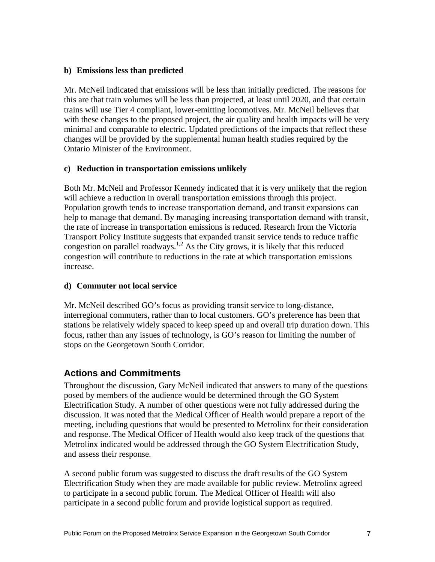#### **b) Emissions less than predicted**

Mr. McNeil indicated that emissions will be less than initially predicted. The reasons for this are that train volumes will be less than projected, at least until 2020, and that certain trains will use Tier 4 compliant, lower-emitting locomotives. Mr. McNeil believes that with these changes to the proposed project, the air quality and health impacts will be very minimal and comparable to electric. Updated predictions of the impacts that reflect these changes will be provided by the supplemental human health studies required by the Ontario Minister of the Environment.

#### **c) Reduction in transportation emissions unlikely**

Both Mr. McNeil and Professor Kennedy indicated that it is very unlikely that the region will achieve a reduction in overall transportation emissions through this project. Population growth tends to increase transportation demand, and transit expansions can help to manage that demand. By managing increasing transportation demand with transit, the rate of increase in transportation emissions is reduced. Research from the Victoria Transport Policy Institute suggests that expanded transit service tends to reduce traffic congestion on parallel roadways.<sup>1,2</sup> As the City grows, it is likely that this reduced congestion will contribute to reductions in the rate at which transportation emissions increase.

#### **d) Commuter not local service**

Mr. McNeil described GO's focus as providing transit service to long-distance, interregional commuters, rather than to local customers. GO's preference has been that stations be relatively widely spaced to keep speed up and overall trip duration down. This focus, rather than any issues of technology, is GO's reason for limiting the number of stops on the Georgetown South Corridor.

## **Actions and Commitments**

Throughout the discussion, Gary McNeil indicated that answers to many of the questions posed by members of the audience would be determined through the GO System Electrification Study. A number of other questions were not fully addressed during the discussion. It was noted that the Medical Officer of Health would prepare a report of the meeting, including questions that would be presented to Metrolinx for their consideration and response. The Medical Officer of Health would also keep track of the questions that Metrolinx indicated would be addressed through the GO System Electrification Study, and assess their response.

A second public forum was suggested to discuss the draft results of the GO System Electrification Study when they are made available for public review. Metrolinx agreed to participate in a second public forum. The Medical Officer of Health will also participate in a second public forum and provide logistical support as required.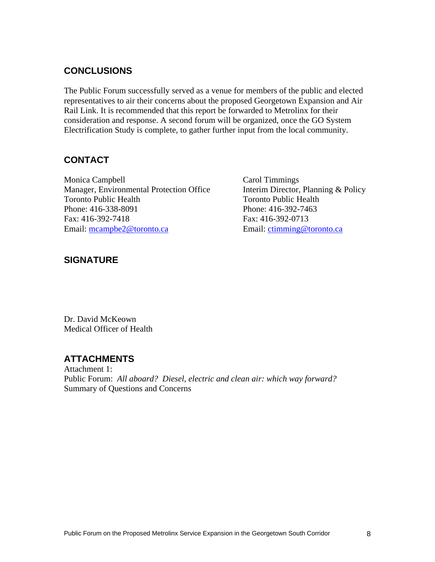# **CONCLUSIONS**

The Public Forum successfully served as a venue for members of the public and elected representatives to air their concerns about the proposed Georgetown Expansion and Air Rail Link. It is recommended that this report be forwarded to Metrolinx for their consideration and response. A second forum will be organized, once the GO System Electrification Study is complete, to gather further input from the local community.

## **CONTACT**

Monica Campbell **Carol Timmings** Carol Timmings Manager, Environmental Protection Office Interim Director, Planning & Policy Toronto Public Health Toronto Public Health Phone: 416-338-8091 Phone: 416-392-7463 Fax: 416-392-7418 Fax: 416-392-0713 Email: mcampbe2@toronto.ca Email: ctimming@toronto.ca

## **SIGNATURE**

Dr. David McKeown Medical Officer of Health

# **ATTACHMENTS**

Attachment 1: Public Forum: *All aboard? Diesel, electric and clean air: which way forward?* Summary of Questions and Concerns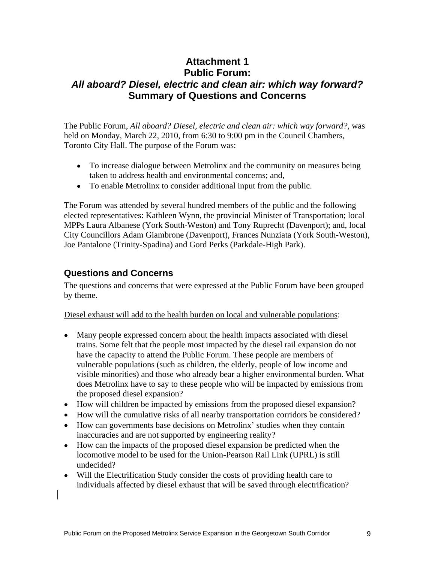# **Attachment 1 Public Forum: All aboard? Diesel, electric and clean air: which way forward? Summary of Questions and Concerns**

The Public Forum, *All aboard? Diesel, electric and clean air: which way forward?*, was held on Monday, March 22, 2010, from 6:30 to 9:00 pm in the Council Chambers, Toronto City Hall. The purpose of the Forum was:

- To increase dialogue between Metrolinx and the community on measures being taken to address health and environmental concerns; and,
- To enable Metrolinx to consider additional input from the public.

The Forum was attended by several hundred members of the public and the following elected representatives: Kathleen Wynn, the provincial Minister of Transportation; local MPPs Laura Albanese (York South-Weston) and Tony Ruprecht (Davenport); and, local City Councillors Adam Giambrone (Davenport), Frances Nunziata (York South-Weston), Joe Pantalone (Trinity-Spadina) and Gord Perks (Parkdale-High Park).

#### **Questions and Concerns**

The questions and concerns that were expressed at the Public Forum have been grouped by theme.

Diesel exhaust will add to the health burden on local and vulnerable populations:

- Many people expressed concern about the health impacts associated with diesel trains. Some felt that the people most impacted by the diesel rail expansion do not have the capacity to attend the Public Forum. These people are members of vulnerable populations (such as children, the elderly, people of low income and visible minorities) and those who already bear a higher environmental burden. What does Metrolinx have to say to these people who will be impacted by emissions from the proposed diesel expansion?
- How will children be impacted by emissions from the proposed diesel expansion?
- How will the cumulative risks of all nearby transportation corridors be considered?
- How can governments base decisions on Metrolinx' studies when they contain inaccuracies and are not supported by engineering reality?
- How can the impacts of the proposed diesel expansion be predicted when the locomotive model to be used for the Union-Pearson Rail Link (UPRL) is still undecided?
- Will the Electrification Study consider the costs of providing health care to individuals affected by diesel exhaust that will be saved through electrification?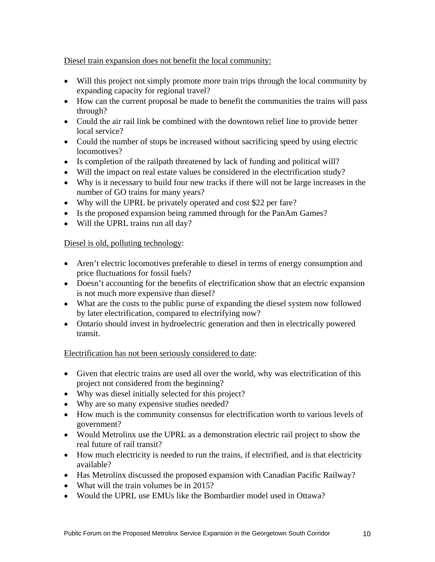#### Diesel train expansion does not benefit the local community:

- Will this project not simply promote more train trips through the local community by expanding capacity for regional travel?
- How can the current proposal be made to benefit the communities the trains will pass through?
- Could the air rail link be combined with the downtown relief line to provide better local service?
- Could the number of stops be increased without sacrificing speed by using electric locomotives?
- Is completion of the railpath threatened by lack of funding and political will?
- Will the impact on real estate values be considered in the electrification study?
- Why is it necessary to build four new tracks if there will not be large increases in the number of GO trains for many years?
- Why will the UPRL be privately operated and cost \$22 per fare?
- Is the proposed expansion being rammed through for the PanAm Games?
- Will the UPRL trains run all day?

#### Diesel is old, polluting technology:

- Aren't electric locomotives preferable to diesel in terms of energy consumption and price fluctuations for fossil fuels?
- Doesn't accounting for the benefits of electrification show that an electric expansion is not much more expensive than diesel?
- What are the costs to the public purse of expanding the diesel system now followed by later electrification, compared to electrifying now?
- Ontario should invest in hydroelectric generation and then in electrically powered transit.

#### Electrification has not been seriously considered to date:

- Given that electric trains are used all over the world, why was electrification of this project not considered from the beginning?
- Why was diesel initially selected for this project?
- Why are so many expensive studies needed?
- How much is the community consensus for electrification worth to various levels of government?
- Would Metrolinx use the UPRL as a demonstration electric rail project to show the real future of rail transit?
- How much electricity is needed to run the trains, if electrified, and is that electricity available?
- Has Metrolinx discussed the proposed expansion with Canadian Pacific Railway?
- What will the train volumes be in 2015?
- Would the UPRL use EMUs like the Bombardier model used in Ottawa?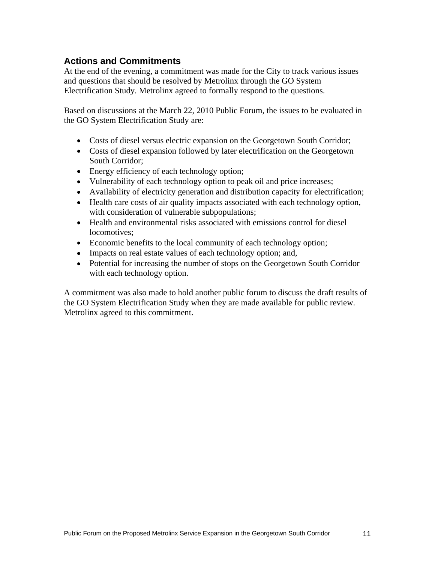# **Actions and Commitments**

At the end of the evening, a commitment was made for the City to track various issues and questions that should be resolved by Metrolinx through the GO System Electrification Study. Metrolinx agreed to formally respond to the questions.

Based on discussions at the March 22, 2010 Public Forum, the issues to be evaluated in the GO System Electrification Study are:

- Costs of diesel versus electric expansion on the Georgetown South Corridor;
- Costs of diesel expansion followed by later electrification on the Georgetown South Corridor;
- Energy efficiency of each technology option;
- Vulnerability of each technology option to peak oil and price increases;
- Availability of electricity generation and distribution capacity for electrification;
- Health care costs of air quality impacts associated with each technology option, with consideration of vulnerable subpopulations;
- Health and environmental risks associated with emissions control for diesel locomotives;
- Economic benefits to the local community of each technology option;
- Impacts on real estate values of each technology option; and,
- Potential for increasing the number of stops on the Georgetown South Corridor with each technology option.

A commitment was also made to hold another public forum to discuss the draft results of the GO System Electrification Study when they are made available for public review. Metrolinx agreed to this commitment.